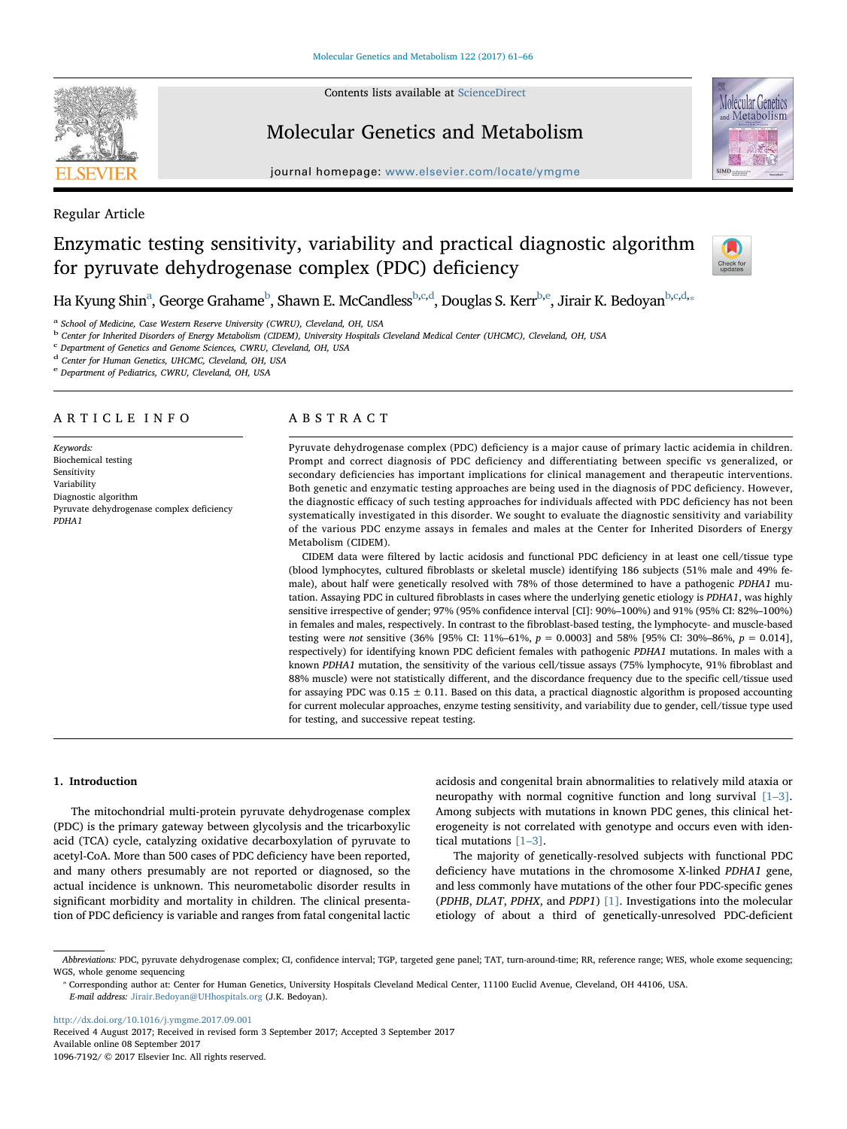Contents lists available at [ScienceDirect](http://www.sciencedirect.com/science/journal/10967192)

Regular Article

**SEVIER** 

## Molecular Genetics and Metabolism

journal homepage: www.elsevier.com/located/ymgmeter.com/located/ymgmeter.com/located/ymgmeter.com/located/ymgmeter.com/located/ymgmeter.com/located/ymgmeter.com/located/ymgmeter.com/located/ymgmeter.com/located/ymgmeter.c



# Enzymatic testing sensitivity, variability and practical diagnostic algorithm for pyruvate dehydrogenase complex (PDC) deficiency



Ha Kyung Shin<sup>a</sup>, George Grahame<sup>b</sup>, Shawn E. McCandless<sup>b[,c](#page-0-2)[,d](#page-0-3)</sup>, Douglas S. Kerr<sup>[b,](#page-0-1)[e](#page-0-4)</sup>, Jirair K. Bedoyan<sup>b,[c](#page-0-2),d,</sup>\*

<span id="page-0-0"></span>School of Medicine, Case Western Reserve University (CWRU), Cleveland, OH, USA

<span id="page-0-1"></span><sup>b</sup> Center for Inherited Disorders of Energy Metabolism (CIDEM), University Hospitals Cleveland Medical Center (UHCMC), Cleveland, OH, USA

<span id="page-0-2"></span><sup>c</sup> Department of Genetics and Genome Sciences, CWRU, Cleveland, OH, USA

<span id="page-0-3"></span><sup>d</sup> Center for Human Genetics, UHCMC, Cleveland, OH, USA

<span id="page-0-4"></span><sup>e</sup> Department of Pediatrics, CWRU, Cleveland, OH, USA

## ARTICLE INFO

Keywords: Biochemical testing Sensitivity Variability Diagnostic algorithm Pyruvate dehydrogenase complex deficiency PDHA1

## ABSTRACT

Pyruvate dehydrogenase complex (PDC) deficiency is a major cause of primary lactic acidemia in children. Prompt and correct diagnosis of PDC deficiency and differentiating between specific vs generalized, or secondary deficiencies has important implications for clinical management and therapeutic interventions. Both genetic and enzymatic testing approaches are being used in the diagnosis of PDC deficiency. However, the diagnostic efficacy of such testing approaches for individuals affected with PDC deficiency has not been systematically investigated in this disorder. We sought to evaluate the diagnostic sensitivity and variability of the various PDC enzyme assays in females and males at the Center for Inherited Disorders of Energy Metabolism (CIDEM).

CIDEM data were filtered by lactic acidosis and functional PDC deficiency in at least one cell/tissue type (blood lymphocytes, cultured fibroblasts or skeletal muscle) identifying 186 subjects (51% male and 49% female), about half were genetically resolved with 78% of those determined to have a pathogenic PDHA1 mutation. Assaying PDC in cultured fibroblasts in cases where the underlying genetic etiology is PDHA1, was highly sensitive irrespective of gender; 97% (95% confidence interval [CI]: 90%–100%) and 91% (95% CI: 82%–100%) in females and males, respectively. In contrast to the fibroblast-based testing, the lymphocyte- and muscle-based testing were not sensitive (36% [95% CI: 11%–61%,  $p = 0.0003$ ] and 58% [95% CI: 30%–86%,  $p = 0.014$ ], respectively) for identifying known PDC deficient females with pathogenic PDHA1 mutations. In males with a known PDHA1 mutation, the sensitivity of the various cell/tissue assays (75% lymphocyte, 91% fibroblast and 88% muscle) were not statistically different, and the discordance frequency due to the specific cell/tissue used for assaying PDC was  $0.15 \pm 0.11$ . Based on this data, a practical diagnostic algorithm is proposed accounting for current molecular approaches, enzyme testing sensitivity, and variability due to gender, cell/tissue type used for testing, and successive repeat testing.

## 1. Introduction

The mitochondrial multi-protein pyruvate dehydrogenase complex (PDC) is the primary gateway between glycolysis and the tricarboxylic acid (TCA) cycle, catalyzing oxidative decarboxylation of pyruvate to acetyl-CoA. More than 500 cases of PDC deficiency have been reported, and many others presumably are not reported or diagnosed, so the actual incidence is unknown. This neurometabolic disorder results in significant morbidity and mortality in children. The clinical presentation of PDC deficiency is variable and ranges from fatal congenital lactic

acidosis and congenital brain abnormalities to relatively mild ataxia or neuropathy with normal cognitive function and long survival [\[1](#page-5-0)–3]. Among subjects with mutations in known PDC genes, this clinical heterogeneity is not correlated with genotype and occurs even with identical mutations [\[1](#page-5-0)–3].

The majority of genetically-resolved subjects with functional PDC deficiency have mutations in the chromosome X-linked PDHA1 gene, and less commonly have mutations of the other four PDC-specific genes (PDHB, DLAT, PDHX, and PDP1) [\[1\].](#page-5-0) Investigations into the molecular etiology of about a third of genetically-unresolved PDC-deficient

<http://dx.doi.org/10.1016/j.ymgme.2017.09.001>

Received 4 August 2017; Received in revised form 3 September 2017; Accepted 3 September 2017 Available online 08 September 2017 1096-7192/ © 2017 Elsevier Inc. All rights reserved.

Abbreviations: PDC, pyruvate dehydrogenase complex; CI, confidence interval; TGP, targeted gene panel; TAT, turn-around-time; RR, reference range; WES, whole exome sequencing; WGS, whole genome sequencing

<span id="page-0-5"></span><sup>⁎</sup> Corresponding author at: Center for Human Genetics, University Hospitals Cleveland Medical Center, 11100 Euclid Avenue, Cleveland, OH 44106, USA. E-mail address: [Jirair.Bedoyan@UHhospitals.org](mailto:Jirair.Bedoyan@UHhospitals.org) (J.K. Bedoyan).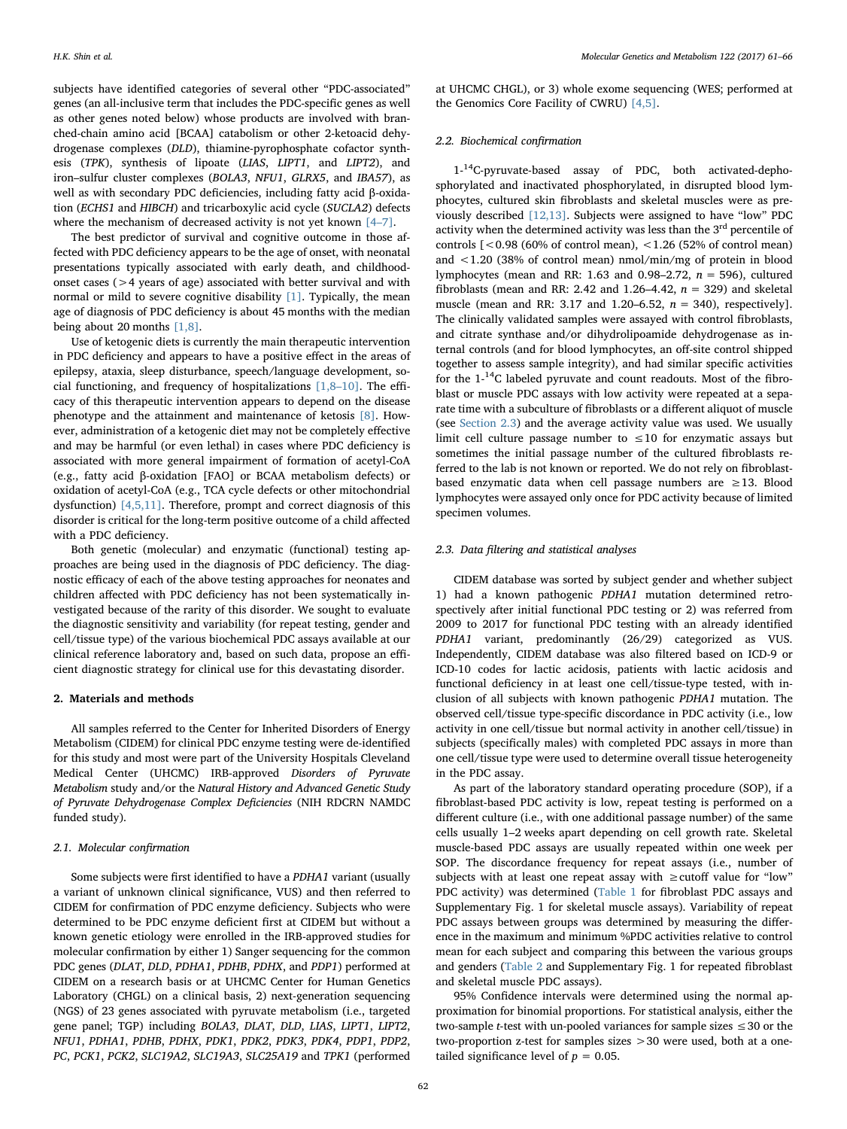subjects have identified categories of several other "PDC-associated" genes (an all-inclusive term that includes the PDC-specific genes as well as other genes noted below) whose products are involved with branched-chain amino acid [BCAA] catabolism or other 2-ketoacid dehydrogenase complexes (DLD), thiamine-pyrophosphate cofactor synthesis (TPK), synthesis of lipoate (LIAS, LIPT1, and LIPT2), and iron–sulfur cluster complexes (BOLA3, NFU1, GLRX5, and IBA57), as well as with secondary PDC deficiencies, including fatty acid β-oxidation (ECHS1 and HIBCH) and tricarboxylic acid cycle (SUCLA2) defects where the mechanism of decreased activity is not yet known [4–[7\].](#page-5-1)

The best predictor of survival and cognitive outcome in those affected with PDC deficiency appears to be the age of onset, with neonatal presentations typically associated with early death, and childhoodonset cases (>4 years of age) associated with better survival and with normal or mild to severe cognitive disability [\[1\]](#page-5-0). Typically, the mean age of diagnosis of PDC deficiency is about 45 months with the median being about 20 months [\[1,8\]](#page-5-0).

Use of ketogenic diets is currently the main therapeutic intervention in PDC deficiency and appears to have a positive effect in the areas of epilepsy, ataxia, sleep disturbance, speech/language development, social functioning, and frequency of hospitalizations  $[1,8-10]$  $[1,8-10]$ . The efficacy of this therapeutic intervention appears to depend on the disease phenotype and the attainment and maintenance of ketosis [\[8\]](#page-5-2). However, administration of a ketogenic diet may not be completely effective and may be harmful (or even lethal) in cases where PDC deficiency is associated with more general impairment of formation of acetyl-CoA (e.g., fatty acid β-oxidation [FAO] or BCAA metabolism defects) or oxidation of acetyl-CoA (e.g., TCA cycle defects or other mitochondrial dysfunction) [\[4,5,11\].](#page-5-1) Therefore, prompt and correct diagnosis of this disorder is critical for the long-term positive outcome of a child affected with a PDC deficiency.

Both genetic (molecular) and enzymatic (functional) testing approaches are being used in the diagnosis of PDC deficiency. The diagnostic efficacy of each of the above testing approaches for neonates and children affected with PDC deficiency has not been systematically investigated because of the rarity of this disorder. We sought to evaluate the diagnostic sensitivity and variability (for repeat testing, gender and cell/tissue type) of the various biochemical PDC assays available at our clinical reference laboratory and, based on such data, propose an efficient diagnostic strategy for clinical use for this devastating disorder.

#### 2. Materials and methods

All samples referred to the Center for Inherited Disorders of Energy Metabolism (CIDEM) for clinical PDC enzyme testing were de-identified for this study and most were part of the University Hospitals Cleveland Medical Center (UHCMC) IRB-approved Disorders of Pyruvate Metabolism study and/or the Natural History and Advanced Genetic Study of Pyruvate Dehydrogenase Complex Deficiencies (NIH RDCRN NAMDC funded study).

#### 2.1. Molecular confirmation

Some subjects were first identified to have a PDHA1 variant (usually a variant of unknown clinical significance, VUS) and then referred to CIDEM for confirmation of PDC enzyme deficiency. Subjects who were determined to be PDC enzyme deficient first at CIDEM but without a known genetic etiology were enrolled in the IRB-approved studies for molecular confirmation by either 1) Sanger sequencing for the common PDC genes (DLAT, DLD, PDHA1, PDHB, PDHX, and PDP1) performed at CIDEM on a research basis or at UHCMC Center for Human Genetics Laboratory (CHGL) on a clinical basis, 2) next-generation sequencing (NGS) of 23 genes associated with pyruvate metabolism (i.e., targeted gene panel; TGP) including BOLA3, DLAT, DLD, LIAS, LIPT1, LIPT2, NFU1, PDHA1, PDHB, PDHX, PDK1, PDK2, PDK3, PDK4, PDP1, PDP2, PC, PCK1, PCK2, SLC19A2, SLC19A3, SLC25A19 and TPK1 (performed

at UHCMC CHGL), or 3) whole exome sequencing (WES; performed at the Genomics Core Facility of CWRU) [\[4,5\].](#page-5-1)

#### 2.2. Biochemical confirmation

1-14C-pyruvate-based assay of PDC, both activated-dephosphorylated and inactivated phosphorylated, in disrupted blood lymphocytes, cultured skin fibroblasts and skeletal muscles were as previously described [\[12,13\].](#page-5-3) Subjects were assigned to have "low" PDC activity when the determined activity was less than the  $3<sup>rd</sup>$  percentile of controls  $\lceil$  < 0.98 (60% of control mean), <1.26 (52% of control mean) and <1.20 (38% of control mean) nmol/min/mg of protein in blood lymphocytes (mean and RR: 1.63 and 0.98–2.72,  $n = 596$ ), cultured fibroblasts (mean and RR: 2.42 and 1.26–4.42,  $n = 329$ ) and skeletal muscle (mean and RR: 3.17 and 1.20–6.52,  $n = 340$ ), respectively]. The clinically validated samples were assayed with control fibroblasts, and citrate synthase and/or dihydrolipoamide dehydrogenase as internal controls (and for blood lymphocytes, an off-site control shipped together to assess sample integrity), and had similar specific activities for the  $1<sup>{14}</sup>C$  labeled pyruvate and count readouts. Most of the fibroblast or muscle PDC assays with low activity were repeated at a separate time with a subculture of fibroblasts or a different aliquot of muscle (see [Section 2.3](#page-1-0)) and the average activity value was used. We usually limit cell culture passage number to  $\leq 10$  for enzymatic assays but sometimes the initial passage number of the cultured fibroblasts referred to the lab is not known or reported. We do not rely on fibroblastbased enzymatic data when cell passage numbers are ≥13. Blood lymphocytes were assayed only once for PDC activity because of limited specimen volumes.

### <span id="page-1-0"></span>2.3. Data filtering and statistical analyses

CIDEM database was sorted by subject gender and whether subject 1) had a known pathogenic PDHA1 mutation determined retrospectively after initial functional PDC testing or 2) was referred from 2009 to 2017 for functional PDC testing with an already identified PDHA1 variant, predominantly (26/29) categorized as VUS. Independently, CIDEM database was also filtered based on ICD-9 or ICD-10 codes for lactic acidosis, patients with lactic acidosis and functional deficiency in at least one cell/tissue-type tested, with inclusion of all subjects with known pathogenic PDHA1 mutation. The observed cell/tissue type-specific discordance in PDC activity (i.e., low activity in one cell/tissue but normal activity in another cell/tissue) in subjects (specifically males) with completed PDC assays in more than one cell/tissue type were used to determine overall tissue heterogeneity in the PDC assay.

As part of the laboratory standard operating procedure (SOP), if a fibroblast-based PDC activity is low, repeat testing is performed on a different culture (i.e., with one additional passage number) of the same cells usually 1–2 weeks apart depending on cell growth rate. Skeletal muscle-based PDC assays are usually repeated within one week per SOP. The discordance frequency for repeat assays (i.e., number of subjects with at least one repeat assay with ≥cutoff value for "low" PDC activity) was determined ([Table 1](#page-2-0) for fibroblast PDC assays and Supplementary Fig. 1 for skeletal muscle assays). Variability of repeat PDC assays between groups was determined by measuring the difference in the maximum and minimum %PDC activities relative to control mean for each subject and comparing this between the various groups and genders [\(Table 2](#page-2-1) and Supplementary Fig. 1 for repeated fibroblast and skeletal muscle PDC assays).

95% Confidence intervals were determined using the normal approximation for binomial proportions. For statistical analysis, either the two-sample *t*-test with un-pooled variances for sample sizes  $\leq 30$  or the two-proportion z-test for samples sizes >30 were used, both at a onetailed significance level of  $p = 0.05$ .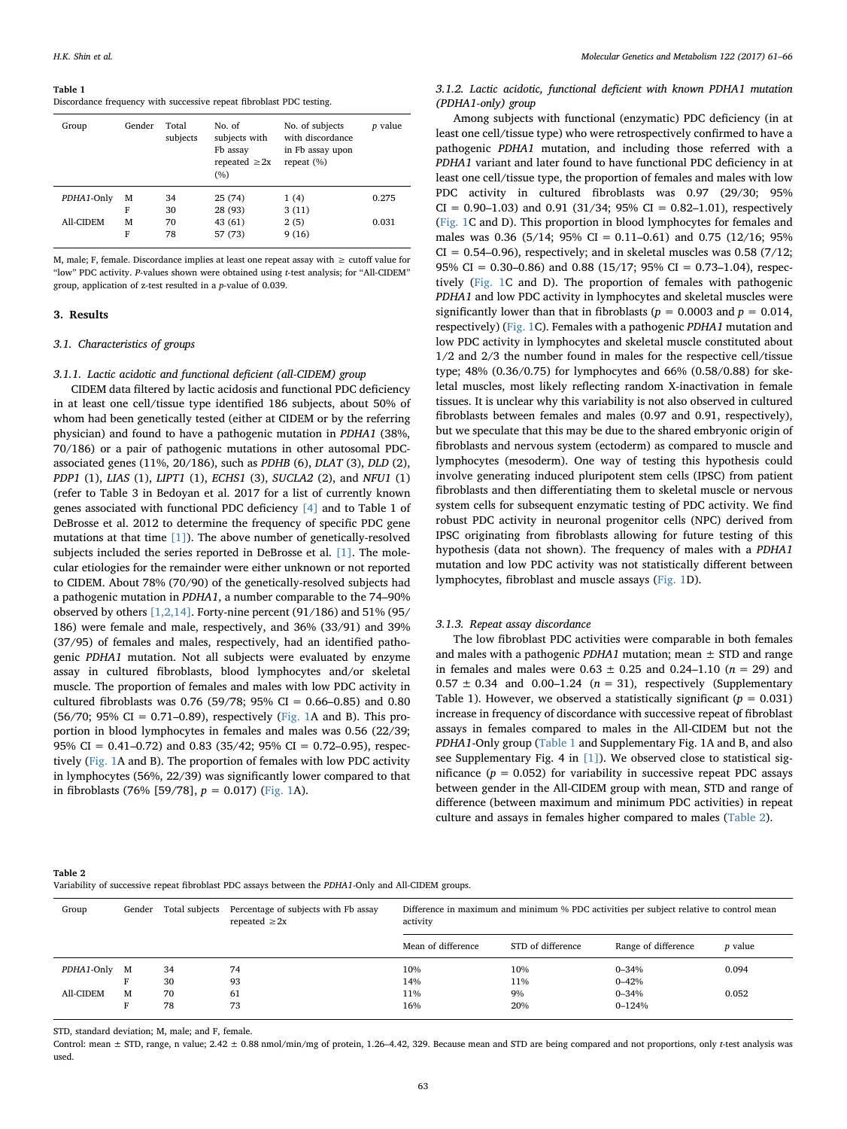#### <span id="page-2-0"></span>Table 1

Discordance frequency with successive repeat fibroblast PDC testing.

| Group      | Gender | Total<br>subjects | No. of<br>subjects with<br>Fb assay<br>repeated $\geq 2x$<br>(%) | No. of subjects<br>with discordance<br>in Fb assay upon<br>repeat $(\% )$ | <i>p</i> value |
|------------|--------|-------------------|------------------------------------------------------------------|---------------------------------------------------------------------------|----------------|
| PDHA1-Only | М      | 34                | 25 (74)                                                          | 1(4)                                                                      | 0.275          |
|            | F      | 30                | 28 (93)                                                          | 3(11)                                                                     |                |
| All-CIDEM  | м      | 70                | 43 (61)                                                          | 2(5)                                                                      | 0.031          |
|            | F      | 78                | 57 (73)                                                          | 9(16)                                                                     |                |

M, male; F, female. Discordance implies at least one repeat assay with ≥ cutoff value for "low" PDC activity. P-values shown were obtained using t-test analysis; for "All-CIDEM" group, application of z-test resulted in a p-value of 0.039.

#### 3. Results

#### 3.1. Characteristics of groups

## 3.1.1. Lactic acidotic and functional deficient (all-CIDEM) group

CIDEM data filtered by lactic acidosis and functional PDC deficiency in at least one cell/tissue type identified 186 subjects, about 50% of whom had been genetically tested (either at CIDEM or by the referring physician) and found to have a pathogenic mutation in PDHA1 (38%, 70/186) or a pair of pathogenic mutations in other autosomal PDCassociated genes (11%, 20/186), such as PDHB (6), DLAT (3), DLD (2), PDP1 (1), LIAS (1), LIPT1 (1), ECHS1 (3), SUCLA2 (2), and NFU1 (1) (refer to Table 3 in Bedoyan et al. 2017 for a list of currently known genes associated with functional PDC deficiency [\[4\]](#page-5-1) and to Table 1 of DeBrosse et al. 2012 to determine the frequency of specific PDC gene mutations at that time [\[1\]](#page-5-0)). The above number of genetically-resolved subjects included the series reported in DeBrosse et al. [\[1\].](#page-5-0) The molecular etiologies for the remainder were either unknown or not reported to CIDEM. About 78% (70/90) of the genetically-resolved subjects had a pathogenic mutation in PDHA1, a number comparable to the 74–90% observed by others [\[1,2,14\].](#page-5-0) Forty-nine percent (91/186) and 51% (95/ 186) were female and male, respectively, and 36% (33/91) and 39% (37/95) of females and males, respectively, had an identified pathogenic PDHA1 mutation. Not all subjects were evaluated by enzyme assay in cultured fibroblasts, blood lymphocytes and/or skeletal muscle. The proportion of females and males with low PDC activity in cultured fibroblasts was 0.76 (59/78; 95% CI = 0.66-0.85) and 0.80 (56/70; 95% CI = 0.71–0.89), respectively ([Fig. 1A](#page-3-0) and B). This proportion in blood lymphocytes in females and males was 0.56 (22/39; 95% CI = 0.41–0.72) and 0.83 (35/42; 95% CI = 0.72–0.95), respectively ([Fig. 1A](#page-3-0) and B). The proportion of females with low PDC activity in lymphocytes (56%, 22/39) was significantly lower compared to that in fibroblasts (76% [59/78],  $p = 0.017$ ) [\(Fig. 1A](#page-3-0)).

## 3.1.2. Lactic acidotic, functional deficient with known PDHA1 mutation (PDHA1-only) group

Among subjects with functional (enzymatic) PDC deficiency (in at least one cell/tissue type) who were retrospectively confirmed to have a pathogenic PDHA1 mutation, and including those referred with a PDHA1 variant and later found to have functional PDC deficiency in at least one cell/tissue type, the proportion of females and males with low PDC activity in cultured fibroblasts was 0.97 (29/30; 95%  $CI = 0.90-1.03$  and 0.91 (31/34; 95%  $CI = 0.82-1.01$ ), respectively ([Fig. 1C](#page-3-0) and D). This proportion in blood lymphocytes for females and males was 0.36 (5/14; 95% CI = 0.11–0.61) and 0.75 (12/16; 95%  $CI = 0.54-0.96$ , respectively; and in skeletal muscles was 0.58 (7/12; 95% CI =  $0.30-0.86$ ) and 0.88 (15/17; 95% CI = 0.73-1.04), respectively ([Fig. 1C](#page-3-0) and D). The proportion of females with pathogenic PDHA1 and low PDC activity in lymphocytes and skeletal muscles were significantly lower than that in fibroblasts ( $p = 0.0003$  and  $p = 0.014$ , respectively) ([Fig. 1](#page-3-0)C). Females with a pathogenic PDHA1 mutation and low PDC activity in lymphocytes and skeletal muscle constituted about 1/2 and 2/3 the number found in males for the respective cell/tissue type; 48% (0.36/0.75) for lymphocytes and 66% (0.58/0.88) for skeletal muscles, most likely reflecting random X-inactivation in female tissues. It is unclear why this variability is not also observed in cultured fibroblasts between females and males (0.97 and 0.91, respectively), but we speculate that this may be due to the shared embryonic origin of fibroblasts and nervous system (ectoderm) as compared to muscle and lymphocytes (mesoderm). One way of testing this hypothesis could involve generating induced pluripotent stem cells (IPSC) from patient fibroblasts and then differentiating them to skeletal muscle or nervous system cells for subsequent enzymatic testing of PDC activity. We find robust PDC activity in neuronal progenitor cells (NPC) derived from IPSC originating from fibroblasts allowing for future testing of this hypothesis (data not shown). The frequency of males with a PDHA1 mutation and low PDC activity was not statistically different between lymphocytes, fibroblast and muscle assays ([Fig. 1D](#page-3-0)).

#### 3.1.3. Repeat assay discordance

The low fibroblast PDC activities were comparable in both females and males with a pathogenic PDHA1 mutation; mean  $\pm$  STD and range in females and males were  $0.63 \pm 0.25$  and  $0.24 - 1.10$  ( $n = 29$ ) and  $0.57 \pm 0.34$  and  $0.00-1.24$  ( $n = 31$ ), respectively (Supplementary Table 1). However, we observed a statistically significant ( $p = 0.031$ ) increase in frequency of discordance with successive repeat of fibroblast assays in females compared to males in the All-CIDEM but not the PDHA1-Only group [\(Table 1](#page-2-0) and Supplementary Fig. 1A and B, and also see Supplementary Fig. 4 in [\[1\]](#page-5-0)). We observed close to statistical significance ( $p = 0.052$ ) for variability in successive repeat PDC assays between gender in the All-CIDEM group with mean, STD and range of difference (between maximum and minimum PDC activities) in repeat culture and assays in females higher compared to males ([Table 2\)](#page-2-1).

<span id="page-2-1"></span>

|--|--|

Variability of successive repeat fibroblast PDC assays between the PDHA1-Only and All-CIDEM groups.

| Group      | Gender | Total subjects | Percentage of subjects with Fb assay<br>repeated $\geq 2x$ | Difference in maximum and minimum % PDC activities per subject relative to control mean<br>activity |                   |                         |                |
|------------|--------|----------------|------------------------------------------------------------|-----------------------------------------------------------------------------------------------------|-------------------|-------------------------|----------------|
|            |        |                |                                                            | Mean of difference                                                                                  | STD of difference | Range of difference     | <i>p</i> value |
| PDHA1-Only | M      | 34<br>30       | 74<br>93                                                   | 10%<br>14%                                                                                          | 10%<br>11%        | $0 - 34%$<br>$0 - 42%$  | 0.094          |
| All-CIDEM  | M      | 70<br>78       | 61<br>73                                                   | 11%<br>16%                                                                                          | 9%<br>20%         | $0 - 34%$<br>$0 - 124%$ | 0.052          |

STD, standard deviation; M, male; and F, female.

Control: mean  $\pm$  STD, range, n value; 2.42  $\pm$  0.88 nmol/min/mg of protein, 1.26-4.42, 329. Because mean and STD are being compared and not proportions, only t-test analysis was used.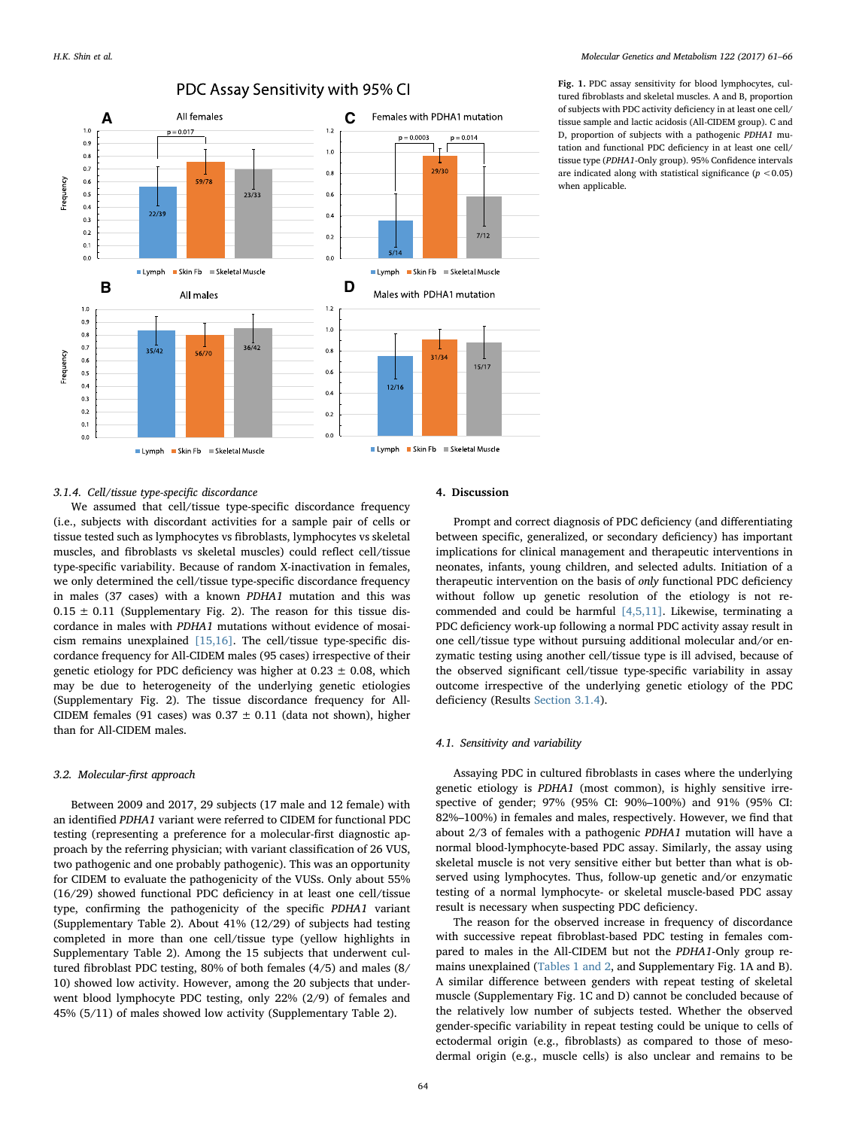<span id="page-3-0"></span>

Fig. 1. PDC assay sensitivity for blood lymphocytes, cultured fibroblasts and skeletal muscles. A and B, proportion of subjects with PDC activity deficiency in at least one cell/ tissue sample and lactic acidosis (All-CIDEM group). C and D, proportion of subjects with a pathogenic PDHA1 mutation and functional PDC deficiency in at least one cell/ tissue type (PDHA1-Only group). 95% Confidence intervals are indicated along with statistical significance  $(p < 0.05)$ when applicable.

#### <span id="page-3-1"></span>3.1.4. Cell/tissue type-specific discordance

We assumed that cell/tissue type-specific discordance frequency (i.e., subjects with discordant activities for a sample pair of cells or tissue tested such as lymphocytes vs fibroblasts, lymphocytes vs skeletal muscles, and fibroblasts vs skeletal muscles) could reflect cell/tissue type-specific variability. Because of random X-inactivation in females, we only determined the cell/tissue type-specific discordance frequency in males (37 cases) with a known PDHA1 mutation and this was  $0.15 \pm 0.11$  (Supplementary Fig. 2). The reason for this tissue discordance in males with PDHA1 mutations without evidence of mosaicism remains unexplained [\[15,16\].](#page-5-4) The cell/tissue type-specific discordance frequency for All-CIDEM males (95 cases) irrespective of their genetic etiology for PDC deficiency was higher at  $0.23 \pm 0.08$ , which may be due to heterogeneity of the underlying genetic etiologies (Supplementary Fig. 2). The tissue discordance frequency for All-CIDEM females (91 cases) was  $0.37 \pm 0.11$  (data not shown), higher than for All-CIDEM males.

### 3.2. Molecular-first approach

Between 2009 and 2017, 29 subjects (17 male and 12 female) with an identified PDHA1 variant were referred to CIDEM for functional PDC testing (representing a preference for a molecular-first diagnostic approach by the referring physician; with variant classification of 26 VUS, two pathogenic and one probably pathogenic). This was an opportunity for CIDEM to evaluate the pathogenicity of the VUSs. Only about 55% (16/29) showed functional PDC deficiency in at least one cell/tissue type, confirming the pathogenicity of the specific PDHA1 variant (Supplementary Table 2). About 41% (12/29) of subjects had testing completed in more than one cell/tissue type (yellow highlights in Supplementary Table 2). Among the 15 subjects that underwent cultured fibroblast PDC testing, 80% of both females (4/5) and males (8/ 10) showed low activity. However, among the 20 subjects that underwent blood lymphocyte PDC testing, only 22% (2/9) of females and 45% (5/11) of males showed low activity (Supplementary Table 2).

#### 4. Discussion

Prompt and correct diagnosis of PDC deficiency (and differentiating between specific, generalized, or secondary deficiency) has important implications for clinical management and therapeutic interventions in neonates, infants, young children, and selected adults. Initiation of a therapeutic intervention on the basis of only functional PDC deficiency without follow up genetic resolution of the etiology is not recommended and could be harmful [\[4,5,11\]](#page-5-1). Likewise, terminating a PDC deficiency work-up following a normal PDC activity assay result in one cell/tissue type without pursuing additional molecular and/or enzymatic testing using another cell/tissue type is ill advised, because of the observed significant cell/tissue type-specific variability in assay outcome irrespective of the underlying genetic etiology of the PDC deficiency (Results [Section 3.1.4](#page-3-1)).

### 4.1. Sensitivity and variability

Assaying PDC in cultured fibroblasts in cases where the underlying genetic etiology is PDHA1 (most common), is highly sensitive irrespective of gender; 97% (95% CI: 90%–100%) and 91% (95% CI: 82%–100%) in females and males, respectively. However, we find that about 2/3 of females with a pathogenic PDHA1 mutation will have a normal blood-lymphocyte-based PDC assay. Similarly, the assay using skeletal muscle is not very sensitive either but better than what is observed using lymphocytes. Thus, follow-up genetic and/or enzymatic testing of a normal lymphocyte- or skeletal muscle-based PDC assay result is necessary when suspecting PDC deficiency.

The reason for the observed increase in frequency of discordance with successive repeat fibroblast-based PDC testing in females compared to males in the All-CIDEM but not the PDHA1-Only group remains unexplained [\(Tables 1 and 2,](#page-2-0) and Supplementary Fig. 1A and B). A similar difference between genders with repeat testing of skeletal muscle (Supplementary Fig. 1C and D) cannot be concluded because of the relatively low number of subjects tested. Whether the observed gender-specific variability in repeat testing could be unique to cells of ectodermal origin (e.g., fibroblasts) as compared to those of mesodermal origin (e.g., muscle cells) is also unclear and remains to be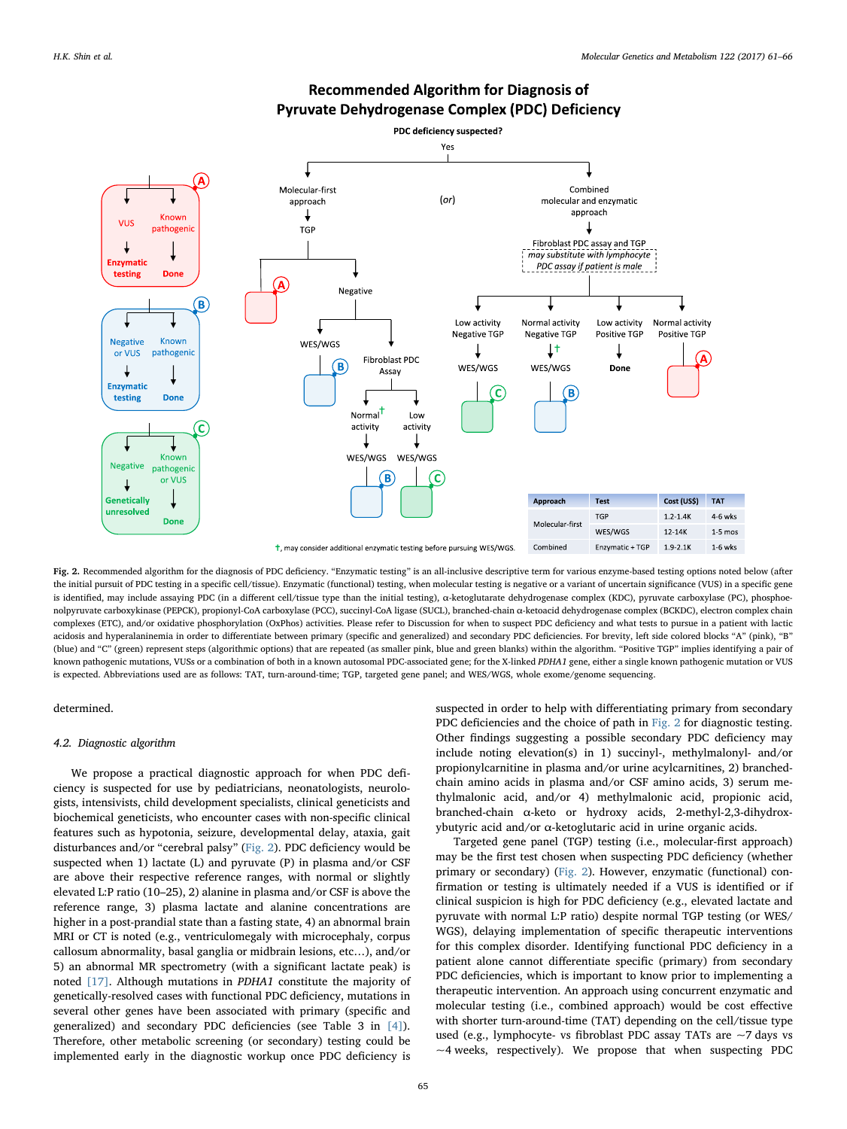<span id="page-4-0"></span>

## **Recommended Algorithm for Diagnosis of Pyruvate Dehydrogenase Complex (PDC) Deficiency**

Fig. 2. Recommended algorithm for the diagnosis of PDC deficiency. "Enzymatic testing" is an all-inclusive descriptive term for various enzyme-based testing options noted below (after the initial pursuit of PDC testing in a specific cell/tissue). Enzymatic (functional) testing, when molecular testing is negative or a variant of uncertain significance (VUS) in a specific gene is identified, may include assaying PDC (in a different cell/tissue type than the initial testing), α-ketoglutarate dehydrogenase complex (KDC), pyruvate carboxylase (PC), phosphoenolpyruvate carboxykinase (PEPCK), propionyl-CoA carboxylase (PCC), succinyl-CoA ligase (SUCL), branched-chain α-ketoacid dehydrogenase complex (BCKDC), electron complex chain complexes (ETC), and/or oxidative phosphorylation (OxPhos) activities. Please refer to Discussion for when to suspect PDC deficiency and what tests to pursue in a patient with lactic acidosis and hyperalaninemia in order to differentiate between primary (specific and generalized) and secondary PDC deficiencies. For brevity, left side colored blocks "A" (pink), "B" (blue) and "C" (green) represent steps (algorithmic options) that are repeated (as smaller pink, blue and green blanks) within the algorithm. "Positive TGP" implies identifying a pair of known pathogenic mutations, VUSs or a combination of both in a known autosomal PDC-associated gene; for the X-linked PDHA1 gene, either a single known pathogenic mutation or VUS is expected. Abbreviations used are as follows: TAT, turn-around-time; TGP, targeted gene panel; and WES/WGS, whole exome/genome sequencing.

## determined.

#### 4.2. Diagnostic algorithm

We propose a practical diagnostic approach for when PDC deficiency is suspected for use by pediatricians, neonatologists, neurologists, intensivists, child development specialists, clinical geneticists and biochemical geneticists, who encounter cases with non-specific clinical features such as hypotonia, seizure, developmental delay, ataxia, gait disturbances and/or "cerebral palsy" ([Fig. 2\)](#page-4-0). PDC deficiency would be suspected when 1) lactate (L) and pyruvate (P) in plasma and/or CSF are above their respective reference ranges, with normal or slightly elevated L:P ratio (10–25), 2) alanine in plasma and/or CSF is above the reference range, 3) plasma lactate and alanine concentrations are higher in a post-prandial state than a fasting state, 4) an abnormal brain MRI or CT is noted (e.g., ventriculomegaly with microcephaly, corpus callosum abnormality, basal ganglia or midbrain lesions, etc…), and/or 5) an abnormal MR spectrometry (with a significant lactate peak) is noted [\[17\].](#page-5-5) Although mutations in PDHA1 constitute the majority of genetically-resolved cases with functional PDC deficiency, mutations in several other genes have been associated with primary (specific and generalized) and secondary PDC deficiencies (see Table 3 in [\[4\]](#page-5-1)). Therefore, other metabolic screening (or secondary) testing could be implemented early in the diagnostic workup once PDC deficiency is

suspected in order to help with differentiating primary from secondary PDC deficiencies and the choice of path in [Fig. 2](#page-4-0) for diagnostic testing. Other findings suggesting a possible secondary PDC deficiency may include noting elevation(s) in 1) succinyl-, methylmalonyl- and/or propionylcarnitine in plasma and/or urine acylcarnitines, 2) branchedchain amino acids in plasma and/or CSF amino acids, 3) serum methylmalonic acid, and/or 4) methylmalonic acid, propionic acid, branched-chain α-keto or hydroxy acids, 2-methyl-2,3-dihydroxybutyric acid and/or α-ketoglutaric acid in urine organic acids.

Targeted gene panel (TGP) testing (i.e., molecular-first approach) may be the first test chosen when suspecting PDC deficiency (whether primary or secondary) ([Fig. 2\)](#page-4-0). However, enzymatic (functional) confirmation or testing is ultimately needed if a VUS is identified or if clinical suspicion is high for PDC deficiency (e.g., elevated lactate and pyruvate with normal L:P ratio) despite normal TGP testing (or WES/ WGS), delaying implementation of specific therapeutic interventions for this complex disorder. Identifying functional PDC deficiency in a patient alone cannot differentiate specific (primary) from secondary PDC deficiencies, which is important to know prior to implementing a therapeutic intervention. An approach using concurrent enzymatic and molecular testing (i.e., combined approach) would be cost effective with shorter turn-around-time (TAT) depending on the cell/tissue type used (e.g., lymphocyte- vs fibroblast PDC assay TATs are ~7 days vs  $~\sim$ 4 weeks, respectively). We propose that when suspecting PDC